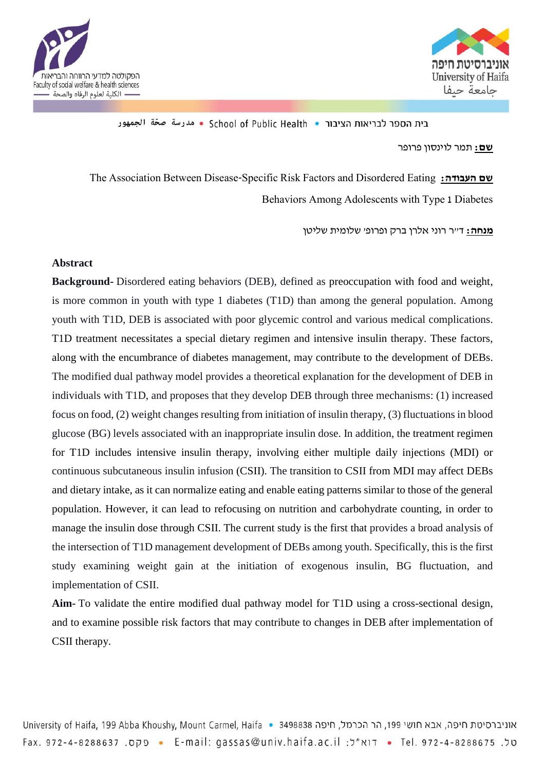



בית הספר לבריאות הציבור • School of Public Health • مدرسة صحّة الجمهور

**שם:** תמר לוינסון פרופר

The Association Between Disease-Specific Risk Factors and Disordered Eating **:העבודה שם** Behaviors Among Adolescents with Type 1 Diabetes

**מנחה:** ד"ר רוני אלרן ברק ופרופ' שלומית שליטן

## **Abstract**

**Background-** Disordered eating behaviors (DEB), defined as preoccupation with food and weight, is more common in youth with type 1 diabetes (T1D) than among the general population. Among youth with T1D, DEB is associated with poor glycemic control and various medical complications. T1D treatment necessitates a special dietary regimen and intensive insulin therapy. These factors, along with the encumbrance of diabetes management, may contribute to the development of DEBs. The modified dual pathway model provides a theoretical explanation for the development of DEB in individuals with T1D, and proposes that they develop DEB through three mechanisms: (1) increased focus on food, (2) weight changes resulting from initiation of insulin therapy, (3) fluctuations in blood glucose (BG) levels associated with an inappropriate insulin dose. In addition, the treatment regimen for T1D includes intensive insulin therapy, involving either multiple daily injections (MDI) or continuous subcutaneous insulin infusion (CSII). The transition to CSII from MDI may affect DEBs and dietary intake, as it can normalize eating and enable eating patterns similar to those of the general population. However, it can lead to refocusing on nutrition and carbohydrate counting, in order to manage the insulin dose through CSII. The current study is the first that provides a broad analysis of the intersection of T1D management development of DEBs among youth. Specifically, this is the first study examining weight gain at the initiation of exogenous insulin, BG fluctuation, and implementation of CSII.

**Aim-** To validate the entire modified dual pathway model for T1D using a cross-sectional design, and to examine possible risk factors that may contribute to changes in DEB after implementation of CSII therapy.

University of Haifa, 199 Abba Khoushy, Mount Carmel, Haifa • 3498838 חיפה, אבא חושי 199, הר הכרמל, חיפה שני 199 סל. Tel. 972-4-8288675 • Tel. 972-4-8288675 • E-mail: gassas@univ.haifa.ac.il • דוא"ל: Tax. 972-4-8288675